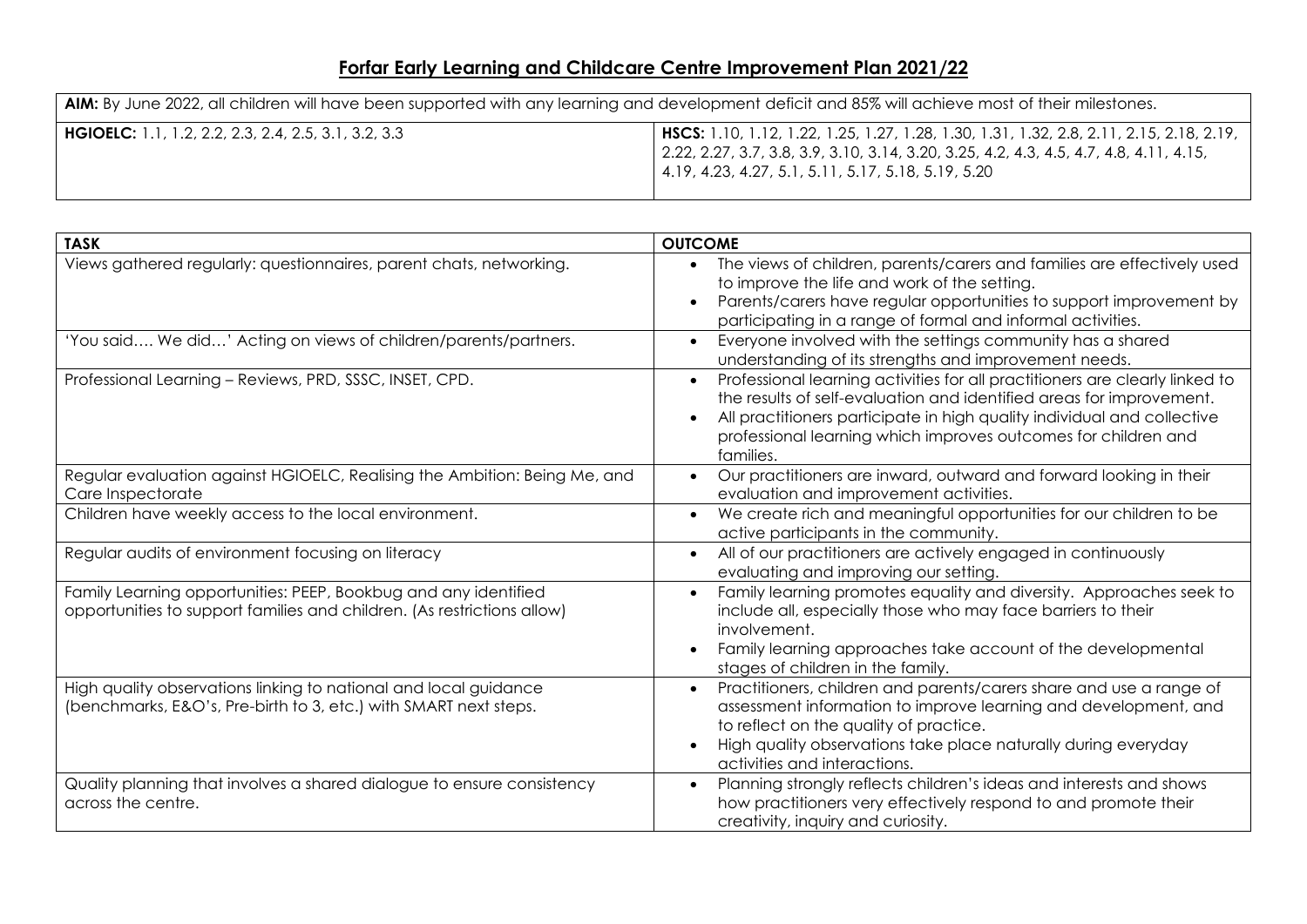## **Forfar Early Learning and Childcare Centre Improvement Plan 2021/22**

| AIM: By June 2022, all children will have been supported with any learning and development deficit and 85% will achieve most of their milestones. |                                                                                                                                                                                                                                                       |  |
|---------------------------------------------------------------------------------------------------------------------------------------------------|-------------------------------------------------------------------------------------------------------------------------------------------------------------------------------------------------------------------------------------------------------|--|
| <b>HGIOELC:</b> 1.1, 1.2, 2.2, 2.3, 2.4, 2.5, 3.1, 3.2, 3.3                                                                                       | <b>HSCS:</b> 1.10, 1.12, 1.22, 1.25, 1.27, 1.28, 1.30, 1.31, 1.32, 2.8, 2.11, 2.15, 2.18, 2.19,  <br>  2.22, 2.27, 3.7, 3.8, 3.9, 3.10, 3.14, 3.20, 3.25, 4.2, 4.3, 4.5, 4.7, 4.8, 4.11, 4.15,<br>4.19, 4.23, 4.27, 5.1, 5.11, 5.17, 5.18, 5.19, 5.20 |  |

| <b>TASK</b>                                                                                                                                | <b>OUTCOME</b>                                                                                                                                                                                                                                                                                                 |
|--------------------------------------------------------------------------------------------------------------------------------------------|----------------------------------------------------------------------------------------------------------------------------------------------------------------------------------------------------------------------------------------------------------------------------------------------------------------|
| Views gathered regularly: questionnaires, parent chats, networking.                                                                        | The views of children, parents/carers and families are effectively used<br>to improve the life and work of the setting.<br>Parents/carers have regular opportunities to support improvement by<br>participating in a range of formal and informal activities.                                                  |
| 'You said We did' Acting on views of children/parents/partners.                                                                            | Everyone involved with the settings community has a shared<br>$\bullet$<br>understanding of its strengths and improvement needs.                                                                                                                                                                               |
| Professional Learning - Reviews, PRD, SSSC, INSET, CPD.                                                                                    | Professional learning activities for all practitioners are clearly linked to<br>the results of self-evaluation and identified areas for improvement.<br>All practitioners participate in high quality individual and collective<br>professional learning which improves outcomes for children and<br>families. |
| Regular evaluation against HGIOELC, Realising the Ambition: Being Me, and<br>Care Inspectorate                                             | Our practitioners are inward, outward and forward looking in their<br>evaluation and improvement activities.                                                                                                                                                                                                   |
| Children have weekly access to the local environment.                                                                                      | We create rich and meaningful opportunities for our children to be<br>active participants in the community.                                                                                                                                                                                                    |
| Regular audits of environment focusing on literacy                                                                                         | All of our practitioners are actively engaged in continuously<br>evaluating and improving our setting.                                                                                                                                                                                                         |
| Family Learning opportunities: PEEP, Bookbug and any identified<br>opportunities to support families and children. (As restrictions allow) | Family learning promotes equality and diversity. Approaches seek to<br>include all, especially those who may face barriers to their<br>involvement.<br>Family learning approaches take account of the developmental<br>stages of children in the family.                                                       |
| High quality observations linking to national and local guidance<br>(benchmarks, E&O's, Pre-birth to 3, etc.) with SMART next steps.       | Practitioners, children and parents/carers share and use a range of<br>assessment information to improve learning and development, and<br>to reflect on the quality of practice.<br>High quality observations take place naturally during everyday<br>activities and interactions.                             |
| Quality planning that involves a shared dialogue to ensure consistency<br>across the centre.                                               | Planning strongly reflects children's ideas and interests and shows<br>how practitioners very effectively respond to and promote their<br>creativity, inquiry and curiosity.                                                                                                                                   |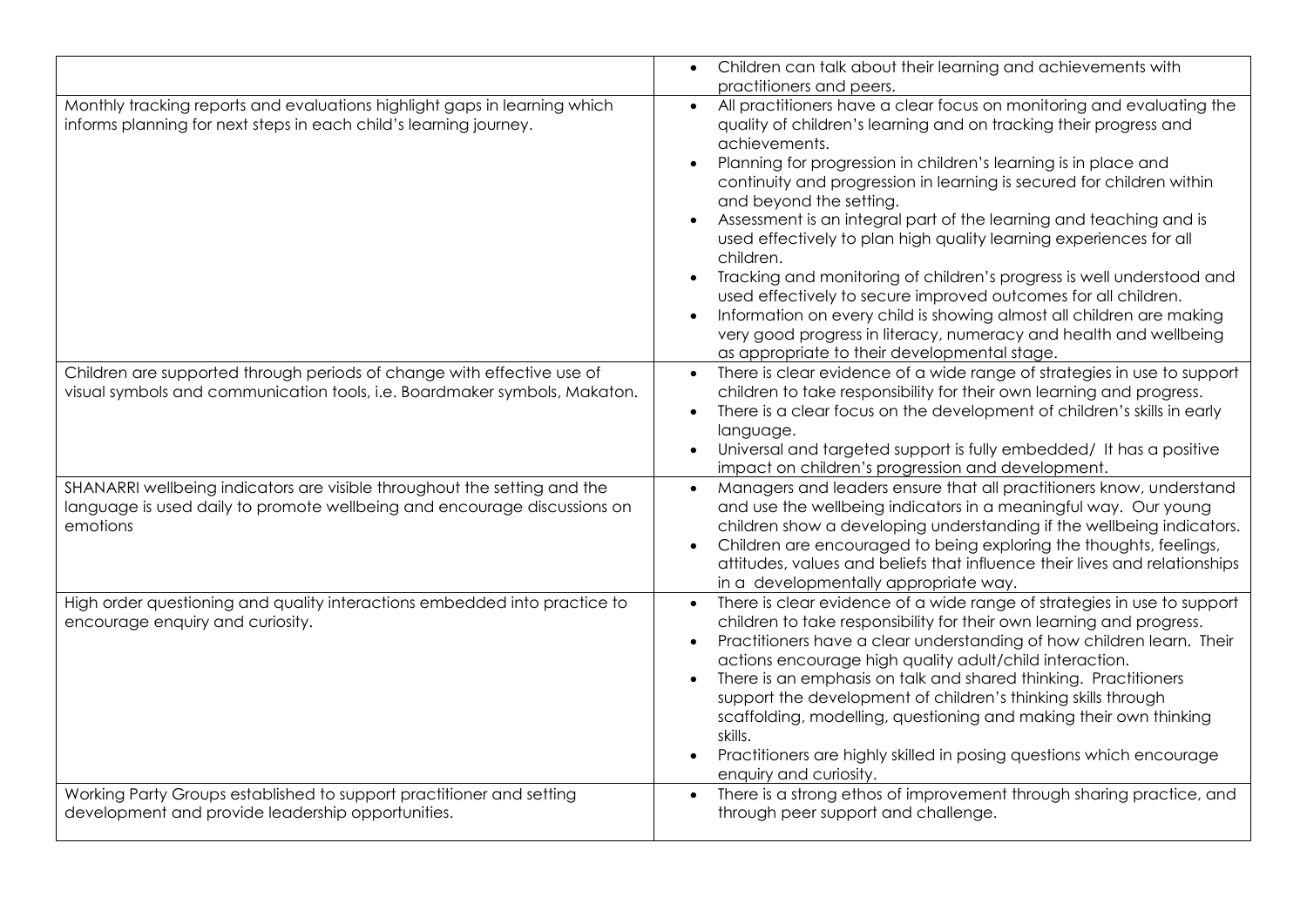|                                                                                                                                                                  | Children can talk about their learning and achievements with<br>practitioners and peers.                                                                                                                                                                                                                                                                                                                                                                                                                                                                                                                                                                                                                                                                                                                                                         |
|------------------------------------------------------------------------------------------------------------------------------------------------------------------|--------------------------------------------------------------------------------------------------------------------------------------------------------------------------------------------------------------------------------------------------------------------------------------------------------------------------------------------------------------------------------------------------------------------------------------------------------------------------------------------------------------------------------------------------------------------------------------------------------------------------------------------------------------------------------------------------------------------------------------------------------------------------------------------------------------------------------------------------|
| Monthly tracking reports and evaluations highlight gaps in learning which<br>informs planning for next steps in each child's learning journey.                   | All practitioners have a clear focus on monitoring and evaluating the<br>$\bullet$<br>quality of children's learning and on tracking their progress and<br>achievements.<br>Planning for progression in children's learning is in place and<br>continuity and progression in learning is secured for children within<br>and beyond the setting.<br>Assessment is an integral part of the learning and teaching and is<br>used effectively to plan high quality learning experiences for all<br>children.<br>Tracking and monitoring of children's progress is well understood and<br>used effectively to secure improved outcomes for all children.<br>Information on every child is showing almost all children are making<br>very good progress in literacy, numeracy and health and wellbeing<br>as appropriate to their developmental stage. |
| Children are supported through periods of change with effective use of<br>visual symbols and communication tools, i.e. Boardmaker symbols, Makaton.              | There is clear evidence of a wide range of strategies in use to support<br>$\bullet$<br>children to take responsibility for their own learning and progress.<br>There is a clear focus on the development of children's skills in early<br>language.<br>Universal and targeted support is fully embedded/ It has a positive<br>impact on children's progression and development.                                                                                                                                                                                                                                                                                                                                                                                                                                                                 |
| SHANARRI wellbeing indicators are visible throughout the setting and the<br>language is used daily to promote wellbeing and encourage discussions on<br>emotions | Managers and leaders ensure that all practitioners know, understand<br>$\bullet$<br>and use the wellbeing indicators in a meaningful way. Our young<br>children show a developing understanding if the wellbeing indicators.<br>Children are encouraged to being exploring the thoughts, feelings,<br>attitudes, values and beliefs that influence their lives and relationships<br>in a developmentally appropriate way.                                                                                                                                                                                                                                                                                                                                                                                                                        |
| High order questioning and quality interactions embedded into practice to<br>encourage enquiry and curiosity.                                                    | There is clear evidence of a wide range of strategies in use to support<br>$\bullet$<br>children to take responsibility for their own learning and progress.<br>Practitioners have a clear understanding of how children learn. Their<br>actions encourage high quality adult/child interaction.<br>There is an emphasis on talk and shared thinking. Practitioners<br>support the development of children's thinking skills through<br>scaffolding, modelling, questioning and making their own thinking<br>skills.<br>Practitioners are highly skilled in posing questions which encourage<br>enquiry and curiosity.                                                                                                                                                                                                                           |
| Working Party Groups established to support practitioner and setting<br>development and provide leadership opportunities.                                        | There is a strong ethos of improvement through sharing practice, and<br>$\bullet$<br>through peer support and challenge.                                                                                                                                                                                                                                                                                                                                                                                                                                                                                                                                                                                                                                                                                                                         |